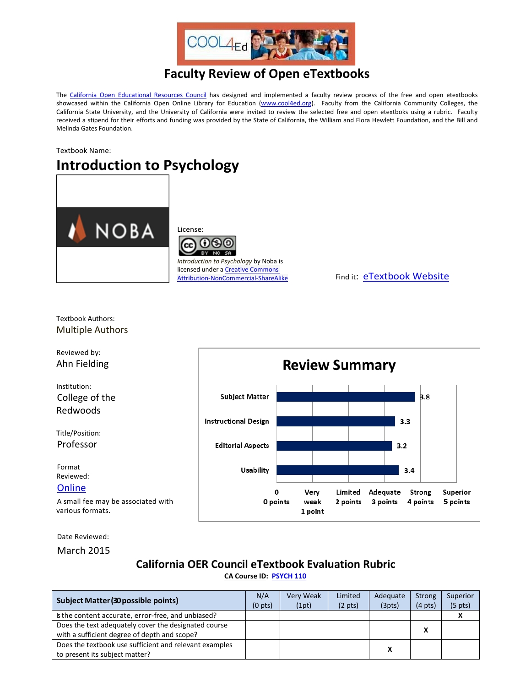

## **Faculty Review of Open eTextbooks**

The [California Open Educational Resources Council](http://icas-ca.org/coerc) has designed and implemented a faculty review process of the free and open etextbooks showcased within the California Open Online Library for Education [\(www.cool4ed.org\)](http://www.cool4ed.org/). Faculty from the California Community Colleges, the California State University, and the University of California were invited to review the selected free and open etextboks using a rubric. Faculty received a stipend for their efforts and funding was provided by the State of California, the William and Flora Hewlett Foundation, and the Bill and Melinda Gates Foundation.

Textbook Name:

# **Introduction to Psychology**





*Introduction to Psychology* by Noba is licensed under [a Creative Commons](http://www.oercommons.org/courses/introduction-to-psychology-2/view)<br>Attribution-NonCommercial-ShareAlike

Find it: [eTextbook Website](http://nobaproject.com/textbooks/introduction-to-psychology-the-full-noba-collection)

Textbook Authors: Multiple Authors



Date Reviewed:

March 2015

## **California OER Council eTextbook Evaluation Rubric**

**[CA Course ID:](https://c-id.net/about.html) [PSYCH 110](https://c-id.net/descriptor_details.html?descriptor=256&submitbtn=Go)**

| Subject Matter (30 possible points)                    |  | Very Weak | Limited           | Adequate | Strong            | Superior            |
|--------------------------------------------------------|--|-----------|-------------------|----------|-------------------|---------------------|
|                                                        |  | (1pt)     | $(2 \text{ pts})$ | (3pts)   | $(4 \text{ pts})$ | (5 <sub>p</sub> ts) |
| is the content accurate, error-free, and unbiased?     |  |           |                   |          |                   |                     |
| Does the text adequately cover the designated course   |  |           |                   |          | Χ                 |                     |
| with a sufficient degree of depth and scope?           |  |           |                   |          |                   |                     |
| Does the textbook use sufficient and relevant examples |  |           |                   |          |                   |                     |
| to present its subject matter?                         |  |           |                   |          |                   |                     |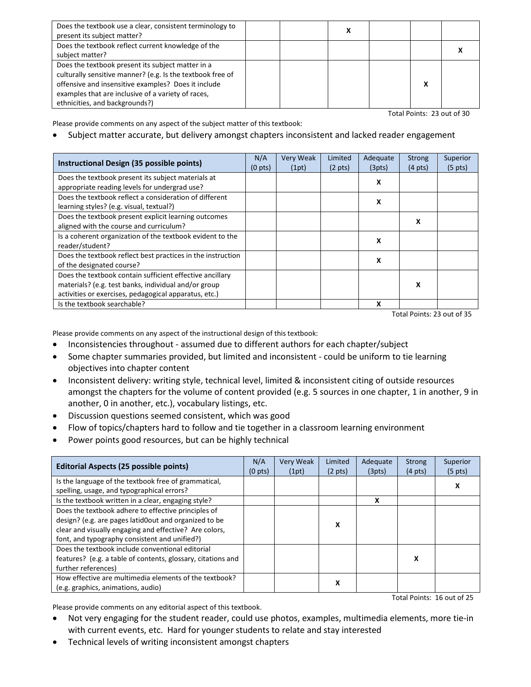| Does the textbook use a clear, consistent terminology to<br>present its subject matter?                                                                                                                                                                        |  |  |  |
|----------------------------------------------------------------------------------------------------------------------------------------------------------------------------------------------------------------------------------------------------------------|--|--|--|
| Does the textbook reflect current knowledge of the<br>subject matter?                                                                                                                                                                                          |  |  |  |
| Does the textbook present its subject matter in a<br>culturally sensitive manner? (e.g. Is the textbook free of<br>offensive and insensitive examples? Does it include<br>examples that are inclusive of a variety of races,<br>ethnicities, and backgrounds?) |  |  |  |

Total Points: 23 out of 30

Please provide comments on any aspect of the subject matter of this textbook:

#### • Subject matter accurate, but delivery amongst chapters inconsistent and lacked reader engagement

| Instructional Design (35 possible points)                   |  | Very Weak | Limited           | Adequate | <b>Strong</b>     | Superior          |
|-------------------------------------------------------------|--|-----------|-------------------|----------|-------------------|-------------------|
|                                                             |  | (1pt)     | $(2 \text{ pts})$ | (3pts)   | $(4 \text{ pts})$ | $(5 \text{ pts})$ |
| Does the textbook present its subject materials at          |  |           |                   | X        |                   |                   |
| appropriate reading levels for undergrad use?               |  |           |                   |          |                   |                   |
| Does the textbook reflect a consideration of different      |  |           |                   | X        |                   |                   |
| learning styles? (e.g. visual, textual?)                    |  |           |                   |          |                   |                   |
| Does the textbook present explicit learning outcomes        |  |           |                   |          |                   |                   |
| aligned with the course and curriculum?                     |  |           |                   |          | х                 |                   |
| Is a coherent organization of the textbook evident to the   |  |           |                   |          |                   |                   |
| reader/student?                                             |  |           |                   | x        |                   |                   |
| Does the textbook reflect best practices in the instruction |  |           |                   | x        |                   |                   |
| of the designated course?                                   |  |           |                   |          |                   |                   |
| Does the textbook contain sufficient effective ancillary    |  |           |                   |          |                   |                   |
| materials? (e.g. test banks, individual and/or group        |  |           |                   |          | х                 |                   |
| activities or exercises, pedagogical apparatus, etc.)       |  |           |                   |          |                   |                   |
| Is the textbook searchable?                                 |  |           |                   | x        |                   |                   |

Total Points: 23 out of 35

Please provide comments on any aspect of the instructional design of this textbook:

- Inconsistencies throughout assumed due to different authors for each chapter/subject
- Some chapter summaries provided, but limited and inconsistent could be uniform to tie learning objectives into chapter content
- Inconsistent delivery: writing style, technical level, limited & inconsistent citing of outside resources amongst the chapters for the volume of content provided (e.g. 5 sources in one chapter, 1 in another, 9 in another, 0 in another, etc.), vocabulary listings, etc.
- Discussion questions seemed consistent, which was good
- Flow of topics/chapters hard to follow and tie together in a classroom learning environment
- Power points good resources, but can be highly technical

| <b>Editorial Aspects (25 possible points)</b>                                                                                                                                                                           | N/A<br>(0 <sub>pts</sub> ) | Very Weak<br>(1pt) | Limited<br>$(2 \text{ pts})$ | Adequate<br>(3pts) | <b>Strong</b><br>$(4 \text{ pts})$ | Superior<br>$(5 \text{ pts})$ |
|-------------------------------------------------------------------------------------------------------------------------------------------------------------------------------------------------------------------------|----------------------------|--------------------|------------------------------|--------------------|------------------------------------|-------------------------------|
| Is the language of the textbook free of grammatical,<br>spelling, usage, and typographical errors?                                                                                                                      |                            |                    |                              |                    |                                    | х                             |
| Is the textbook written in a clear, engaging style?                                                                                                                                                                     |                            |                    |                              | X                  |                                    |                               |
| Does the textbook adhere to effective principles of<br>design? (e.g. are pages latid0out and organized to be<br>clear and visually engaging and effective? Are colors,<br>font, and typography consistent and unified?) |                            |                    | x                            |                    |                                    |                               |
| Does the textbook include conventional editorial<br>features? (e.g. a table of contents, glossary, citations and<br>further references)                                                                                 |                            |                    |                              |                    | X                                  |                               |
| How effective are multimedia elements of the textbook?<br>(e.g. graphics, animations, audio)                                                                                                                            |                            |                    | x                            |                    |                                    | Total Points: 16 out of 25    |

Please provide comments on any editorial aspect of this textbook.

- Not very engaging for the student reader, could use photos, examples, multimedia elements, more tie-in with current events, etc. Hard for younger students to relate and stay interested
- Technical levels of writing inconsistent amongst chapters